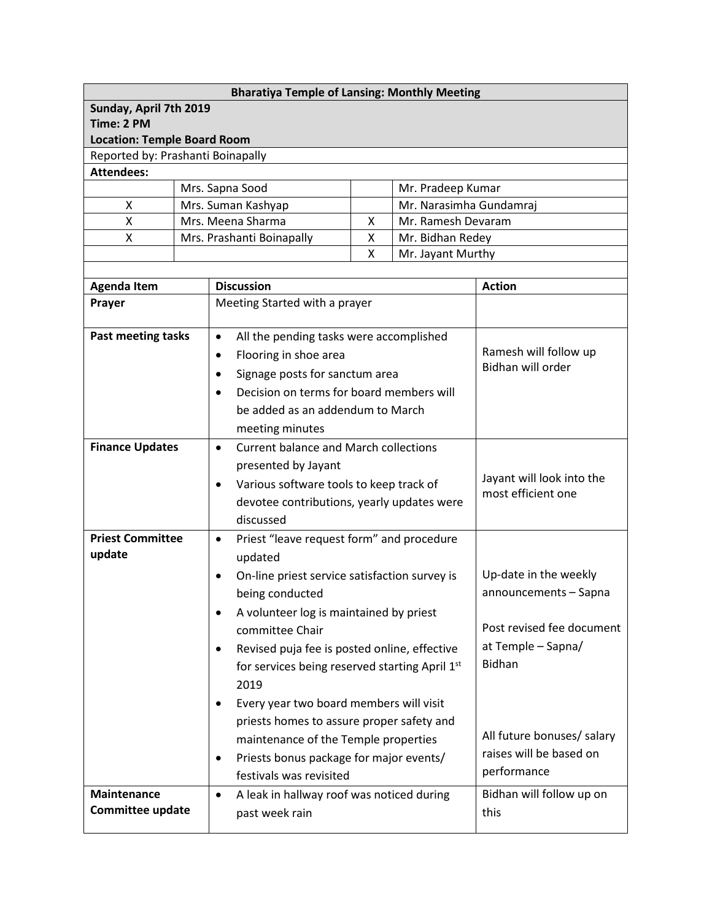| <b>Bharatiya Temple of Lansing: Monthly Meeting</b>    |                 |                                                                    |                               |  |                                                 |  |  |  |
|--------------------------------------------------------|-----------------|--------------------------------------------------------------------|-------------------------------|--|-------------------------------------------------|--|--|--|
| Sunday, April 7th 2019                                 |                 |                                                                    |                               |  |                                                 |  |  |  |
| Time: 2 PM                                             |                 |                                                                    |                               |  |                                                 |  |  |  |
| <b>Location: Temple Board Room</b>                     |                 |                                                                    |                               |  |                                                 |  |  |  |
| Reported by: Prashanti Boinapally<br><b>Attendees:</b> |                 |                                                                    |                               |  |                                                 |  |  |  |
|                                                        | Mrs. Sapna Sood |                                                                    |                               |  |                                                 |  |  |  |
| x                                                      |                 | Mr. Pradeep Kumar<br>Mr. Narasimha Gundamraj<br>Mrs. Suman Kashyap |                               |  |                                                 |  |  |  |
| Χ                                                      |                 | Mrs. Meena Sharma<br>Mr. Ramesh Devaram<br>x                       |                               |  |                                                 |  |  |  |
| X                                                      |                 | Mrs. Prashanti Boinapally<br>Mr. Bidhan Redey<br>Χ                 |                               |  |                                                 |  |  |  |
|                                                        |                 | Χ<br>Mr. Jayant Murthy                                             |                               |  |                                                 |  |  |  |
|                                                        |                 |                                                                    |                               |  |                                                 |  |  |  |
| <b>Agenda Item</b>                                     |                 | <b>Discussion</b>                                                  | <b>Action</b>                 |  |                                                 |  |  |  |
| Prayer                                                 |                 |                                                                    | Meeting Started with a prayer |  |                                                 |  |  |  |
| <b>Past meeting tasks</b>                              |                 | All the pending tasks were accomplished<br>$\bullet$               |                               |  | Ramesh will follow up<br>Bidhan will order      |  |  |  |
|                                                        |                 | Flooring in shoe area<br>$\bullet$                                 |                               |  |                                                 |  |  |  |
|                                                        |                 | Signage posts for sanctum area<br>$\bullet$                        |                               |  |                                                 |  |  |  |
|                                                        |                 | Decision on terms for board members will                           |                               |  |                                                 |  |  |  |
|                                                        |                 | be added as an addendum to March                                   |                               |  |                                                 |  |  |  |
|                                                        |                 | meeting minutes                                                    |                               |  |                                                 |  |  |  |
| <b>Finance Updates</b>                                 |                 | <b>Current balance and March collections</b><br>$\bullet$          |                               |  |                                                 |  |  |  |
|                                                        |                 | presented by Jayant                                                |                               |  | Jayant will look into the<br>most efficient one |  |  |  |
|                                                        |                 | Various software tools to keep track of<br>$\bullet$               |                               |  |                                                 |  |  |  |
|                                                        |                 | devotee contributions, yearly updates were                         |                               |  |                                                 |  |  |  |
|                                                        |                 | discussed                                                          |                               |  |                                                 |  |  |  |
| <b>Priest Committee</b>                                |                 | Priest "leave request form" and procedure<br>$\bullet$             |                               |  |                                                 |  |  |  |
| update                                                 |                 | updated                                                            |                               |  |                                                 |  |  |  |
|                                                        |                 | On-line priest service satisfaction survey is<br>$\bullet$         | Up-date in the weekly         |  |                                                 |  |  |  |
|                                                        |                 | being conducted                                                    |                               |  | announcements - Sapna                           |  |  |  |
|                                                        |                 | A volunteer log is maintained by priest<br>$\bullet$               |                               |  |                                                 |  |  |  |
|                                                        |                 | committee Chair                                                    |                               |  | Post revised fee document                       |  |  |  |
|                                                        |                 | Revised puja fee is posted online, effective<br>$\bullet$          |                               |  | at Temple - Sapna/                              |  |  |  |
|                                                        |                 | for services being reserved starting April 1st                     |                               |  | <b>Bidhan</b>                                   |  |  |  |
|                                                        |                 | 2019                                                               |                               |  |                                                 |  |  |  |
|                                                        |                 | Every year two board members will visit<br>$\bullet$               |                               |  |                                                 |  |  |  |
|                                                        |                 | priests homes to assure proper safety and                          |                               |  |                                                 |  |  |  |
|                                                        |                 | maintenance of the Temple properties                               | All future bonuses/ salary    |  |                                                 |  |  |  |
|                                                        |                 | Priests bonus package for major events/<br>$\bullet$               | raises will be based on       |  |                                                 |  |  |  |
|                                                        |                 | festivals was revisited                                            |                               |  | performance                                     |  |  |  |
| <b>Maintenance</b>                                     |                 | A leak in hallway roof was noticed during<br>$\bullet$             |                               |  | Bidhan will follow up on                        |  |  |  |
| Committee update                                       |                 | past week rain                                                     |                               |  | this                                            |  |  |  |
|                                                        |                 |                                                                    |                               |  |                                                 |  |  |  |